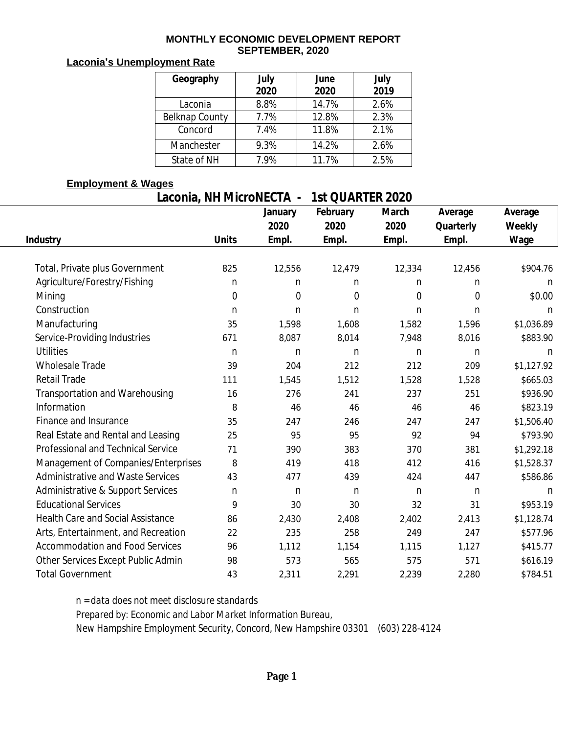#### **MONTHLY ECONOMIC DEVELOPMENT REPORT SEPTEMBER, 2020**

#### **Laconia's Unemployment Rate**

| Geography      | July<br>2020 | June<br>2020 | July<br>2019 |
|----------------|--------------|--------------|--------------|
| Laconia        | 8.8%         | 14.7%        | 2.6%         |
| Belknap County | 7.7%         | 12.8%        | 2.3%         |
| Concord        | 7.4%         | 11.8%        | 2.1%         |
| Manchester     | 9.3%         | 14.2%        | 2.6%         |
| State of NH    | 7.9%         | 11.7%        | 2.5%         |

### **Employment & Wages**

# **Laconia, NH MicroNECTA - 1st QUARTER 2020**

|                                          |              | January     | February | March          | Average        | Average    |
|------------------------------------------|--------------|-------------|----------|----------------|----------------|------------|
|                                          |              | 2020        | 2020     | 2020           | Quarterly      | Weekly     |
| <b>Industry</b>                          | <b>Units</b> | Empl.       | Empl.    | Empl.          | Empl.          | Wage       |
|                                          |              |             |          |                |                |            |
| Total, Private plus Government           | 825          | 12,556      | 12,479   | 12,334         | 12,456         | \$904.76   |
| Agriculture/Forestry/Fishing             | n            | n           | n        | n              | n              | n          |
| Mining                                   | $\mathbf 0$  | $\mathbf 0$ | 0        | $\overline{0}$ | $\overline{0}$ | \$0.00     |
| Construction                             | $\mathsf{n}$ | n           | n.       | $\mathsf{n}$   | n              | n          |
| Manufacturing                            | 35           | 1,598       | 1,608    | 1,582          | 1,596          | \$1,036.89 |
| Service-Providing Industries             | 671          | 8,087       | 8,014    | 7,948          | 8,016          | \$883.90   |
| <b>Utilities</b>                         | n            | n           | n        | n              | $\mathsf{n}$   | n          |
| <b>Wholesale Trade</b>                   | 39           | 204         | 212      | 212            | 209            | \$1,127.92 |
| <b>Retail Trade</b>                      | 111          | 1,545       | 1,512    | 1,528          | 1,528          | \$665.03   |
| Transportation and Warehousing           | 16           | 276         | 241      | 237            | 251            | \$936.90   |
| Information                              | 8            | 46          | 46       | 46             | 46             | \$823.19   |
| Finance and Insurance                    | 35           | 247         | 246      | 247            | 247            | \$1,506.40 |
| Real Estate and Rental and Leasing       | 25           | 95          | 95       | 92             | 94             | \$793.90   |
| Professional and Technical Service       | 71           | 390         | 383      | 370            | 381            | \$1,292.18 |
| Management of Companies/Enterprises      | 8            | 419         | 418      | 412            | 416            | \$1,528.37 |
| Administrative and Waste Services        | 43           | 477         | 439      | 424            | 447            | \$586.86   |
| Administrative & Support Services        | $\mathsf{n}$ | n           | n        | n              | $\mathsf{n}$   | n          |
| <b>Educational Services</b>              | 9            | 30          | 30       | 32             | 31             | \$953.19   |
| <b>Health Care and Social Assistance</b> | 86           | 2,430       | 2,408    | 2,402          | 2,413          | \$1,128.74 |
| Arts, Entertainment, and Recreation      | 22           | 235         | 258      | 249            | 247            | \$577.96   |
| <b>Accommodation and Food Services</b>   | 96           | 1,112       | 1,154    | 1,115          | 1,127          | \$415.77   |
| Other Services Except Public Admin       | 98           | 573         | 565      | 575            | 571            | \$616.19   |
| <b>Total Government</b>                  | 43           | 2,311       | 2,291    | 2,239          | 2,280          | \$784.51   |

*n = data does not meet disclosure standards*

*Prepared by: Economic and Labor Market Information Bureau,*

*New Hampshire Employment Security, Concord, New Hampshire 03301 (603) 228-4124*